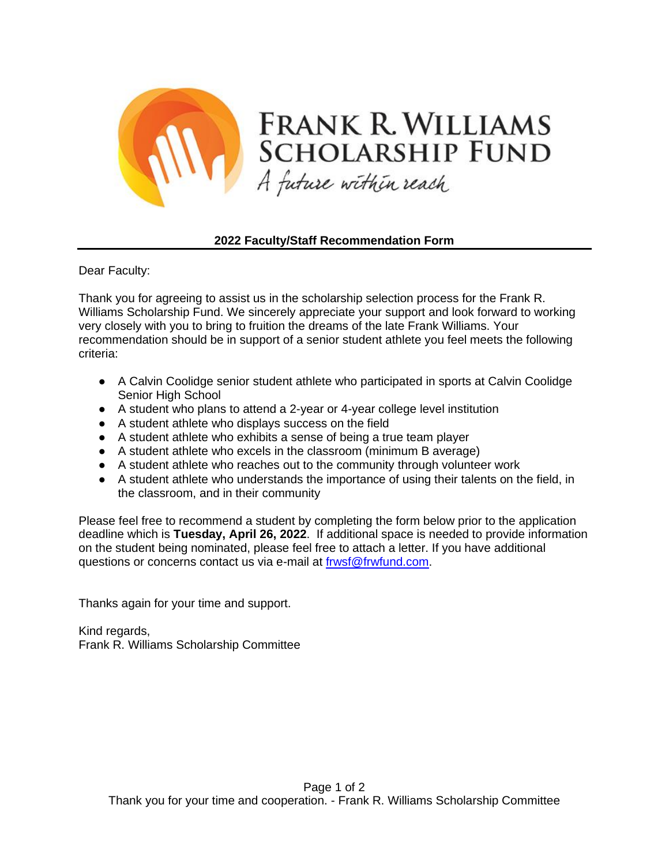

## **2022 Faculty/Staff Recommendation Form**

Dear Faculty:

Thank you for agreeing to assist us in the scholarship selection process for the Frank R. Williams Scholarship Fund. We sincerely appreciate your support and look forward to working very closely with you to bring to fruition the dreams of the late Frank Williams. Your recommendation should be in support of a senior student athlete you feel meets the following criteria:

- A Calvin Coolidge senior student athlete who participated in sports at Calvin Coolidge Senior High School
- A student who plans to attend a 2-year or 4-year college level institution
- A student athlete who displays success on the field
- A student athlete who exhibits a sense of being a true team player
- A student athlete who excels in the classroom (minimum B average)
- A student athlete who reaches out to the community through volunteer work
- A student athlete who understands the importance of using their talents on the field, in the classroom, and in their community

Please feel free to recommend a student by completing the form below prior to the application deadline which is **Tuesday, April 26, 2022**. If additional space is needed to provide information on the student being nominated, please feel free to attach a letter. If you have additional questions or concerns contact us via e-mail at [frwsf@frwfund.com.](mailto:frwsf@frwfund.com)

Thanks again for your time and support.

Kind regards, Frank R. Williams Scholarship Committee